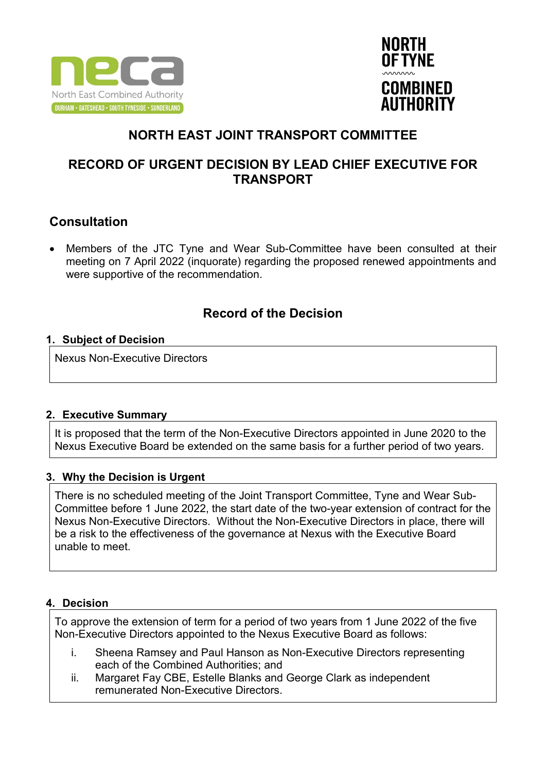



# **NORTH EAST JOINT TRANSPORT COMMITTEE**

## **RECORD OF URGENT DECISION BY LEAD CHIEF EXECUTIVE FOR TRANSPORT**

## **Consultation**

• Members of the JTC Tyne and Wear Sub-Committee have been consulted at their meeting on 7 April 2022 (inquorate) regarding the proposed renewed appointments and were supportive of the recommendation.

## **Record of the Decision**

### **1. Subject of Decision**

Nexus Non-Executive Directors

### **2. Executive Summary**

It is proposed that the term of the Non-Executive Directors appointed in June 2020 to the Nexus Executive Board be extended on the same basis for a further period of two years.

### **3. Why the Decision is Urgent**

There is no scheduled meeting of the Joint Transport Committee, Tyne and Wear Sub-Committee before 1 June 2022, the start date of the two-year extension of contract for the Nexus Non-Executive Directors. Without the Non-Executive Directors in place, there will be a risk to the effectiveness of the governance at Nexus with the Executive Board unable to meet.

### **4. Decision**

To approve the extension of term for a period of two years from 1 June 2022 of the five Non-Executive Directors appointed to the Nexus Executive Board as follows:

- i. Sheena Ramsey and Paul Hanson as Non-Executive Directors representing each of the Combined Authorities; and
- ii. Margaret Fay CBE, Estelle Blanks and George Clark as independent remunerated Non-Executive Directors.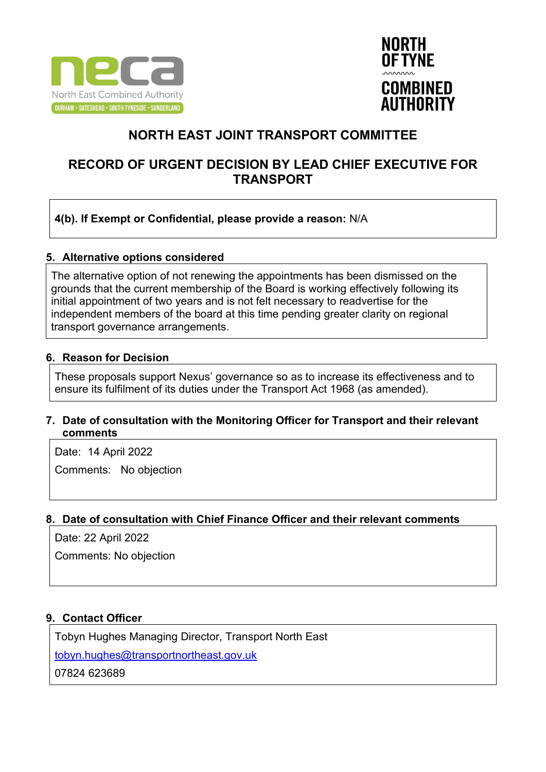



# **NORTH EAST JOINT TRANSPORT COMMITTEE**

### **RECORD OF URGENT DECISION BY LEAD CHIEF EXECUTIVE FOR TRANSPORT**

### **4(b). If Exempt or Confidential, please provide a reason:** N/A

#### **5. Alternative options considered**

The alternative option of not renewing the appointments has been dismissed on the grounds that the current membership of the Board is working effectively following its initial appointment of two years and is not felt necessary to readvertise for the independent members of the board at this time pending greater clarity on regional transport governance arrangements.

#### **6. Reason for Decision**

These proposals support Nexus' governance so as to increase its effectiveness and to ensure its fulfilment of its duties under the Transport Act 1968 (as amended).

### **7. Date of consultation with the Monitoring Officer for Transport and their relevant comments**

Date: 14 April 2022 Comments: No objection

### **8. Date of consultation with Chief Finance Officer and their relevant comments**

Date: 22 April 2022

Comments: No objection

### **9. Contact Officer**

Tobyn Hughes Managing Director, Transport North East

[tobyn.hughes@transportnortheast.gov.uk](mailto:tobyn.hughes@transportnortheast.gov.uk)

07824 623689